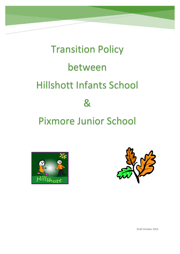# Transition Policy between Hillshott Infants School & Pixmore Junior School





Draft October 2014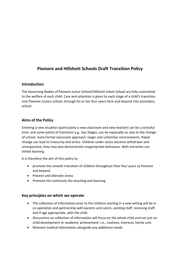# **Pixmore and Hillshott Schools Draft Transition Policy**

### **Introduction**

The Governing Bodies of Pixmore Junior School/Hillshott Infant School are fully committed to the welfare of each child. Care and attention is given to each stage of a child's transition into Pixmore Juniors school, through his or her four years here and beyond into secondary school.

## **Aims of the Policy**

Entering a new situation (particularly a new classroom and new teacher) can be a stressful time, and some points of transition e.g., key Stages, can be especially so, due to the change of school, more formal classroom approach, larger and unfamiliar environments. Rapid change can lead to insecurity and stress. Children under stress become withdrawn and unresponsive; they may also demonstrate inappropriate behaviour. Both extremes can inhibit learning.

It is therefore the aim of this policy to:

- promote the smooth transition of children throughout their four years at Pixmore and beyond
- Prevent and alleviate stress
- Promote the continuity the teaching and learning

#### **Key principles on which we operate**

- The collection of information prior to the children starting in a new setting will be in co-operation and partnership with parents and carers, existing staff, receiving staff, and if age appropriate, with the child.
- Discussions on collection of information will focus on the whole child and not just on child development or academic achievement .i.e., routines, interests, family unit.
- Relevant medical information alongside any additional needs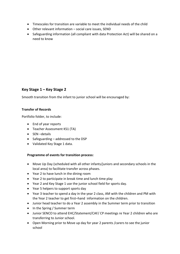- Timescales for transition are variable to meet the individual needs of the child
- Other relevant information social care issues, SEND
- Safeguarding information (all compliant with data Protection Act) will be shared on a need to know

## **Key Stage 1 – Key Stage 2**

Smooth transition from the infant to junior school will be encouraged by:

#### **Transfer of Records**

Portfolio folder, to include:

- End of year reports
- Teacher Assessment KS1 (TA)
- SEN-details
- Safeguarding addressed to the DSP
- Validated Key Stage 1 data.

#### **Programme of events for transition process:**

- Move Up Day (scheduled with all other infants/juniors and secondary schools in the local area) to facilitate transfer across phases.
- Year 2 to have lunch in the dining room
- Year 2 to participate in break time and lunch time play
- Year 2 and Key Stage 1 use the junior school field for sports day.
- Year 5 helpers to support sports day
- Year 3 teacher to spend a day in the year 2 class, AM with the children and PM with the Year 2 teacher to get first–hand information on the children.
- Junior head teacher to do a Year 2 assembly in the Summer term prior to transition
- In the Spring / Summer term
- Junior SENCO to attend EHC/Statement/CAF/ CP meetings re Year 2 children who are transferring to Junior school.
- Open Morning prior to Move up day for year 2 parents /carers to see the junior school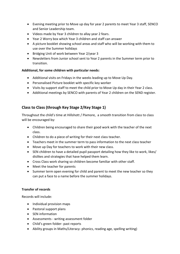- Evening meeting prior to Move up day for year 2 parents to meet Year 3 staff, SENCO and Senior Leadership team.
- Videos made by Year 3 children to allay year 2 fears.
- Year 2 Worry box which Year 3 children and staff can answer
- A picture booklet showing school areas and staff who will be working with them to use over the Summer holidays
- Bridging Unit of work between Year 2/year 3
- Newsletters from Junior school sent to Year 2 parents in the Summer term prior to transition.

#### **Additional, for some children with particular needs:**

- Additional visits on Fridays in the weeks leading up to Move Up Day.
- Personalised Picture booklet with specific key worker
- Visits by support staff to meet the child prior to Move Up day in their Year 2 class.
- Additional meetings by SENCO with parents of Year 2 children on the SEND register.

## **Class to Class (through Key Stage 2/Key Stage 1)**

Throughout the child's time at Hillshott / Pixmore, a smooth transition from class to class will be encouraged by:

- Children being encouraged to share their good work with the teacher of the next class.
- Children to do a piece of writing for their next class teacher.
- Teachers meet in the summer term to pass information to the next class teacher
- Move up Day for teachers to work with their new class.
- SEN children to have a detailed pupil passport detailing how they like to work, likes/ dislikes and strategies that have helped them learn.
- Cross Class work sharing so children become familiar with other staff.
- Meet the teacher for parents
- Summer term open evening for child and parent to meet the new teacher so they can put a face to a name before the summer holidays.

#### **Transfer of records**

Records will include:

- Individual provision maps
- Pastoral support plans
- SEN information
- Assessments writing assessment folder
- Child's green folder- past reports
- Ability groups in Maths/Literacy- phonics, reading age, spelling writing)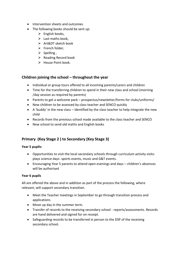- Intervention sheets and outcomes
- The following books should be sent up:
	- $\triangleright$  English books,
	- $\blacktriangleright$  Last maths book.
	- $\triangleright$  Art&DT sketch book
	- $\triangleright$  French folder,
	- $\triangleright$  Spelling,
	- $\triangleright$  Reading Record book
	- $\triangleright$  House Point book.

## **Children joining the school – throughout the year**

- Individual or group tours offered to all incoming parents/carers and children
- Time for the transferring children to spend in their new class and school (morning /day session as required by parents)
- Parents to get a welcome pack prospectus/newsletter/forms for clubs/uniforms/
- New children to be assessed by class teacher and SENCO quickly
- A 'buddy' in the new class identified by the class teacher to help integrate the new child
- Records from the previous school made available to the class teacher and SENCO
- New school to send old maths and English books

## **Primary (Key Stage 2 ) to Secondary (Key Stage 3)**

#### **Year 5 pupils:**

- Opportunities to visit the local secondary schools through curriculum activity visitsplays science days- sports events, music and G&T events.
- Encouraging Year 5 parents to attend open evenings and days children's absences will be authorised

#### **Year 6 pupils**

All are offered the above and in addition as part of the process the following, where relevant, will support secondary transition.

- Meet the Teacher meetings in September to go through transition process and applications
- Move up day in the summer term.
- Transfer of records to the receiving secondary school reports/assessments. Records are hand delivered and signed for on receipt.
- Safeguarding records to be transferred in person to the DSP of the receiving secondary school.